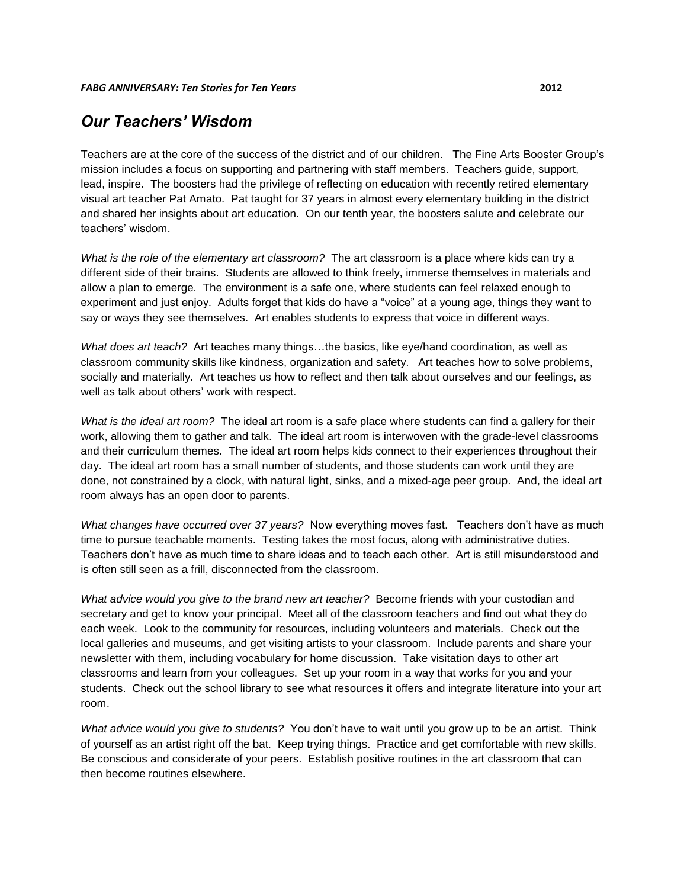## *Our Teachers' Wisdom*

Teachers are at the core of the success of the district and of our children. The Fine Arts Booster Group's mission includes a focus on supporting and partnering with staff members. Teachers guide, support, lead, inspire. The boosters had the privilege of reflecting on education with recently retired elementary visual art teacher Pat Amato. Pat taught for 37 years in almost every elementary building in the district and shared her insights about art education. On our tenth year, the boosters salute and celebrate our teachers' wisdom.

*What is the role of the elementary art classroom?* The art classroom is a place where kids can try a different side of their brains. Students are allowed to think freely, immerse themselves in materials and allow a plan to emerge. The environment is a safe one, where students can feel relaxed enough to experiment and just enjoy. Adults forget that kids do have a "voice" at a young age, things they want to say or ways they see themselves. Art enables students to express that voice in different ways.

*What does art teach?* Art teaches many things…the basics, like eye/hand coordination, as well as classroom community skills like kindness, organization and safety. Art teaches how to solve problems, socially and materially. Art teaches us how to reflect and then talk about ourselves and our feelings, as well as talk about others' work with respect.

*What is the ideal art room?* The ideal art room is a safe place where students can find a gallery for their work, allowing them to gather and talk. The ideal art room is interwoven with the grade-level classrooms and their curriculum themes. The ideal art room helps kids connect to their experiences throughout their day. The ideal art room has a small number of students, and those students can work until they are done, not constrained by a clock, with natural light, sinks, and a mixed-age peer group. And, the ideal art room always has an open door to parents.

*What changes have occurred over 37 years?* Now everything moves fast. Teachers don't have as much time to pursue teachable moments. Testing takes the most focus, along with administrative duties. Teachers don't have as much time to share ideas and to teach each other. Art is still misunderstood and is often still seen as a frill, disconnected from the classroom.

*What advice would you give to the brand new art teacher?* Become friends with your custodian and secretary and get to know your principal. Meet all of the classroom teachers and find out what they do each week. Look to the community for resources, including volunteers and materials. Check out the local galleries and museums, and get visiting artists to your classroom. Include parents and share your newsletter with them, including vocabulary for home discussion. Take visitation days to other art classrooms and learn from your colleagues. Set up your room in a way that works for you and your students. Check out the school library to see what resources it offers and integrate literature into your art room.

*What advice would you give to students?* You don't have to wait until you grow up to be an artist. Think of yourself as an artist right off the bat. Keep trying things. Practice and get comfortable with new skills. Be conscious and considerate of your peers. Establish positive routines in the art classroom that can then become routines elsewhere.